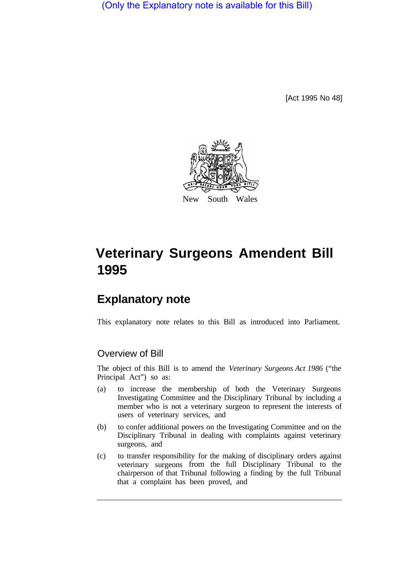(Only the Explanatory note is available for this Bill)

[Act 1995 No 48]



# **Veterinary Surgeons Amendent Bill 1995**

## **Explanatory note**

This explanatory note relates to this Bill as introduced into Parliament.

### Overview of Bill

The object of this Bill is to amend the *Veterinary Surgeons Act 1986* ("the Principal Act") so as:

- (a) to increase the membership of both the Veterinary Surgeons Investigating Committee and the Disciplinary Tribunal by including a member who is not a veterinary surgeon to represent the interests of users of veterinary services, and
- (b) to confer additional powers on the Investigating Committee and on the Disciplinary Tribunal in dealing with complaints against veterinary surgeons, and
- (c) to transfer responsibility for the making of disciplinary orders against veterinary surgeons from the full Disciplinary Tribunal to the chairperson of that Tribunal following a finding by the full Tribunal that a complaint has been proved, and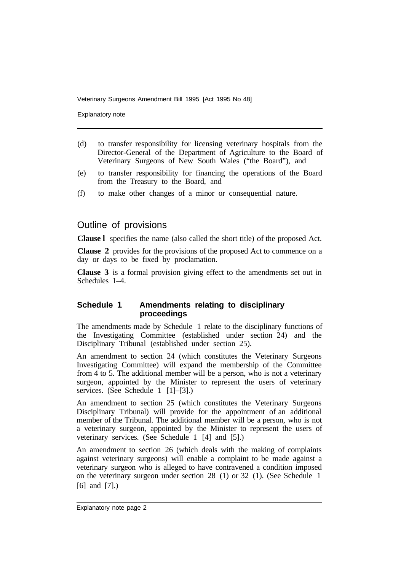Explanatory note

- (d) to transfer responsibility for licensing veterinary hospitals from the Director-General of the Department of Agriculture to the Board of Veterinary Surgeons of New South Wales ("the Board"), and
- (e) to transfer responsibility for financing the operations of the Board from the Treasury to the Board, and
- (f) to make other changes of a minor or consequential nature.

#### Outline of provisions

**Clause l** specifies the name (also called the short title) of the proposed Act.

**Clause 2** provides for the provisions of the proposed Act to commence on a day or days to be fixed by proclamation.

**Clause 3** is a formal provision giving effect to the amendments set out in Schedules 1–4.

#### **Schedule 1 Amendments relating to disciplinary proceedings**

The amendments made by Schedule 1 relate to the disciplinary functions of the Investigating Committee (established under section 24) and the Disciplinary Tribunal (established under section 25).

An amendment to section 24 (which constitutes the Veterinary Surgeons Investigating Committee) will expand the membership of the Committee from 4 to 5. The additional member will be a person, who is not a veterinary surgeon, appointed by the Minister to represent the users of veterinary services. (See Schedule 1 [1]–[3].)

An amendment to section 25 (which constitutes the Veterinary Surgeons Disciplinary Tribunal) will provide for the appointment of an additional member of the Tribunal. The additional member will be a person, who is not a veterinary surgeon, appointed by the Minister to represent the users of veterinary services. (See Schedule 1 [4] and [5].)

An amendment to section 26 (which deals with the making of complaints against veterinary surgeons) will enable a complaint to be made against a veterinary surgeon who is alleged to have contravened a condition imposed on the veterinary surgeon under section 28 (1) or 32 (1). (See Schedule 1 [6] and [7].)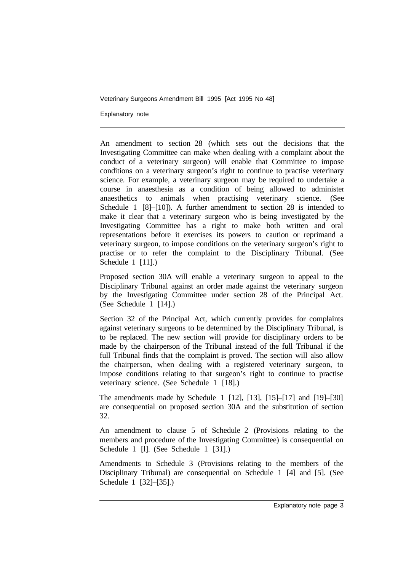Explanatory note

An amendment to section 28 (which sets out the decisions that the Investigating Committee can make when dealing with a complaint about the conduct of a veterinary surgeon) will enable that Committee to impose conditions on a veterinary surgeon's right to continue to practise veterinary science. For example, a veterinary surgeon may be required to undertake a course in anaesthesia as a condition of being allowed to administer anaesthetics to animals when practising veterinary science. (See Schedule 1 [8]–[10]). A further amendment to section 28 is intended to make it clear that a veterinary surgeon who is being investigated by the Investigating Committee has a right to make both written and oral representations before it exercises its powers to caution or reprimand a veterinary surgeon, to impose conditions on the veterinary surgeon's right to practise or to refer the complaint to the Disciplinary Tribunal. (See Schedule 1 [11].)

Proposed section 30A will enable a veterinary surgeon to appeal to the Disciplinary Tribunal against an order made against the veterinary surgeon by the Investigating Committee under section 28 of the Principal Act. (See Schedule 1 [14].)

Section 32 of the Principal Act, which currently provides for complaints against veterinary surgeons to be determined by the Disciplinary Tribunal, is to be replaced. The new section will provide for disciplinary orders to be made by the chairperson of the Tribunal instead of the full Tribunal if the full Tribunal finds that the complaint is proved. The section will also allow the chairperson, when dealing with a registered veterinary surgeon, to impose conditions relating to that surgeon's right to continue to practise veterinary science. (See Schedule 1 [18].)

The amendments made by Schedule 1 [12], [13], [15]–[17] and [19]–[30] are consequential on proposed section 30A and the substitution of section 32.

An amendment to clause 5 of Schedule 2 (Provisions relating to the members and procedure of the Investigating Committee) is consequential on Schedule 1 [1]. (See Schedule 1 [31].)

Amendments to Schedule 3 (Provisions relating to the members of the Disciplinary Tribunal) are consequential on Schedule 1 [4] and [5]. (See Schedule 1 [32]–[35].)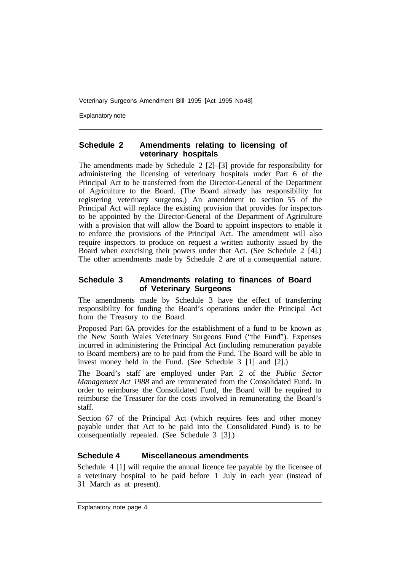Explanatory note

#### **Schedule 2 Amendments relating to licensing of veterinary hospitals**

The amendments made by Schedule 2 [2]–[3] provide for responsibility for administering the licensing of veterinary hospitals under Part 6 of the Principal Act to be transferred from the Director-General of the Department of Agriculture to the Board. (The Board already has responsibility for registering veterinary surgeons.) An amendment to section 55 of the Principal Act will replace the existing provision that provides for inspectors to be appointed by the Director-General of the Department of Agriculture with a provision that will allow the Board to appoint inspectors to enable it to enforce the provisions of the Principal Act. The amendment will also require inspectors to produce on request a written authority issued by the Board when exercising their powers under that Act. (See Schedule 2 [4].) The other amendments made by Schedule 2 are of a consequential nature.

#### **Schedule 3 Amendments relating to finances of Board of Veterinary Surgeons**

The amendments made by Schedule 3 have the effect of transferring responsibility for funding the Board's operations under the Principal Act from the Treasury to the Board.

Proposed Part 6A provides for the establishment of a fund to be known as the New South Wales Veterinary Surgeons Fund ("the Fund"). Expenses incurred in administering the Principal Act (including remuneration payable to Board members) are to be paid from the Fund. The Board will be able to invest money held in the Fund. (See Schedule 3 [1] and [2].)

The Board's staff are employed under Part 2 of the *Public Sector Management Act 1988* and are remunerated from the Consolidated Fund. In order to reimburse the Consolidated Fund, the Board will be required to reimburse the Treasurer for the costs involved in remunerating the Board's staff.

Section 67 of the Principal Act (which requires fees and other money payable under that Act to be paid into the Consolidated Fund) is to be consequentially repealed. (See Schedule 3 [3].)

#### **Schedule 4 Miscellaneous amendments**

Schedule 4 [1] will require the annual licence fee payable by the licensee of a veterinary hospital to be paid before 1 July in each year (instead of 31 March as at present).